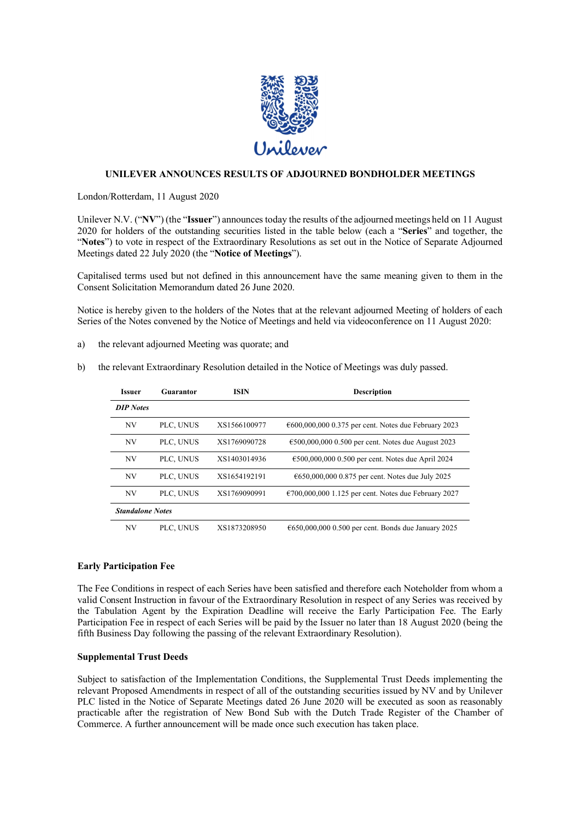

### **UNILEVER ANNOUNCES RESULTS OF ADJOURNED BONDHOLDER MEETINGS**

London/Rotterdam, 11 August 2020

Unilever N.V. ("**NV**") (the "**Issuer**") announces today the results of the adjourned meetings held on 11 August 2020 for holders of the outstanding securities listed in the table below (each a "**Series**" and together, the "**Notes**") to vote in respect of the Extraordinary Resolutions as set out in the Notice of Separate Adjourned Meetings dated 22 July 2020 (the "**Notice of Meetings**").

Capitalised terms used but not defined in this announcement have the same meaning given to them in the Consent Solicitation Memorandum dated 26 June 2020.

Notice is hereby given to the holders of the Notes that at the relevant adjourned Meeting of holders of each Series of the Notes convened by the Notice of Meetings and held via videoconference on 11 August 2020:

a) the relevant adjourned Meeting was quorate; and

| Issuer                  | Guarantor | ISIN         | <b>Description</b>                                             |
|-------------------------|-----------|--------------|----------------------------------------------------------------|
| <b>DIP</b> Notes        |           |              |                                                                |
| <b>NV</b>               | PLC. UNUS | XS1566100977 | $\epsilon$ 600,000,000 0.375 per cent. Notes due February 2023 |
| <b>NV</b>               | PLC. UNUS | XS1769090728 | €500,000,000 0.500 per cent. Notes due August 2023             |
| <b>NV</b>               | PLC. UNUS | XS1403014936 | €500,000,000 0.500 per cent. Notes due April 2024              |
| <b>NV</b>               | PLC. UNUS | XS1654192191 | €650,000,000 0.875 per cent. Notes due July 2025               |
| <b>NV</b>               | PLC. UNUS | XS1769090991 | $\epsilon$ 700,000,000 1.125 per cent. Notes due February 2027 |
| <b>Standalone Notes</b> |           |              |                                                                |
| <b>NV</b>               | PLC. UNUS | XS1873208950 | $\epsilon$ 650,000,000 0.500 per cent. Bonds due January 2025  |

b) the relevant Extraordinary Resolution detailed in the Notice of Meetings was duly passed.

# **Early Participation Fee**

The Fee Conditions in respect of each Series have been satisfied and therefore each Noteholder from whom a valid Consent Instruction in favour of the Extraordinary Resolution in respect of any Series was received by the Tabulation Agent by the Expiration Deadline will receive the Early Participation Fee. The Early Participation Fee in respect of each Series will be paid by the Issuer no later than 18 August 2020 (being the fifth Business Day following the passing of the relevant Extraordinary Resolution).

## **Supplemental Trust Deeds**

Subject to satisfaction of the Implementation Conditions, the Supplemental Trust Deeds implementing the relevant Proposed Amendments in respect of all of the outstanding securities issued by NV and by Unilever PLC listed in the Notice of Separate Meetings dated 26 June 2020 will be executed as soon as reasonably practicable after the registration of New Bond Sub with the Dutch Trade Register of the Chamber of Commerce. A further announcement will be made once such execution has taken place.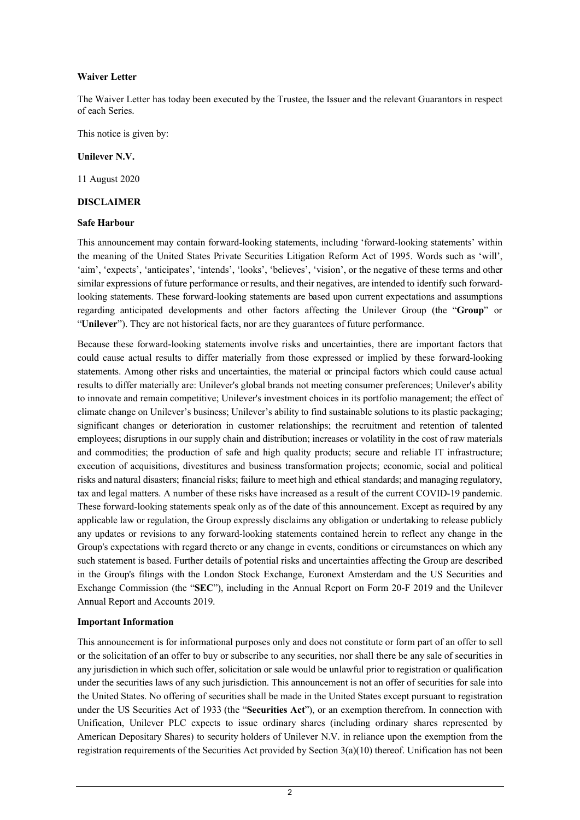## **Waiver Letter**

The Waiver Letter has today been executed by the Trustee, the Issuer and the relevant Guarantors in respect of each Series.

This notice is given by:

### **Unilever N.V.**

11 August 2020

### **DISCLAIMER**

### **Safe Harbour**

This announcement may contain forward-looking statements, including 'forward-looking statements' within the meaning of the United States Private Securities Litigation Reform Act of 1995. Words such as 'will', 'aim', 'expects', 'anticipates', 'intends', 'looks', 'believes', 'vision', or the negative of these terms and other similar expressions of future performance or results, and their negatives, are intended to identify such forwardlooking statements. These forward-looking statements are based upon current expectations and assumptions regarding anticipated developments and other factors affecting the Unilever Group (the "**Group**" or "**Unilever**"). They are not historical facts, nor are they guarantees of future performance.

Because these forward-looking statements involve risks and uncertainties, there are important factors that could cause actual results to differ materially from those expressed or implied by these forward-looking statements. Among other risks and uncertainties, the material or principal factors which could cause actual results to differ materially are: Unilever's global brands not meeting consumer preferences; Unilever's ability to innovate and remain competitive; Unilever's investment choices in its portfolio management; the effect of climate change on Unilever's business; Unilever's ability to find sustainable solutions to its plastic packaging; significant changes or deterioration in customer relationships; the recruitment and retention of talented employees; disruptions in our supply chain and distribution; increases or volatility in the cost of raw materials and commodities; the production of safe and high quality products; secure and reliable IT infrastructure; execution of acquisitions, divestitures and business transformation projects; economic, social and political risks and natural disasters; financial risks; failure to meet high and ethical standards; and managing regulatory, tax and legal matters. A number of these risks have increased as a result of the current COVID-19 pandemic. These forward-looking statements speak only as of the date of this announcement. Except as required by any applicable law or regulation, the Group expressly disclaims any obligation or undertaking to release publicly any updates or revisions to any forward-looking statements contained herein to reflect any change in the Group's expectations with regard thereto or any change in events, conditions or circumstances on which any such statement is based. Further details of potential risks and uncertainties affecting the Group are described in the Group's filings with the London Stock Exchange, Euronext Amsterdam and the US Securities and Exchange Commission (the "**SEC**"), including in the Annual Report on Form 20-F 2019 and the Unilever Annual Report and Accounts 2019.

## **Important Information**

This announcement is for informational purposes only and does not constitute or form part of an offer to sell or the solicitation of an offer to buy or subscribe to any securities, nor shall there be any sale of securities in any jurisdiction in which such offer, solicitation or sale would be unlawful prior to registration or qualification under the securities laws of any such jurisdiction. This announcement is not an offer of securities for sale into the United States. No offering of securities shall be made in the United States except pursuant to registration under the US Securities Act of 1933 (the "**Securities Act**"), or an exemption therefrom. In connection with Unification, Unilever PLC expects to issue ordinary shares (including ordinary shares represented by American Depositary Shares) to security holders of Unilever N.V. in reliance upon the exemption from the registration requirements of the Securities Act provided by Section 3(a)(10) thereof. Unification has not been